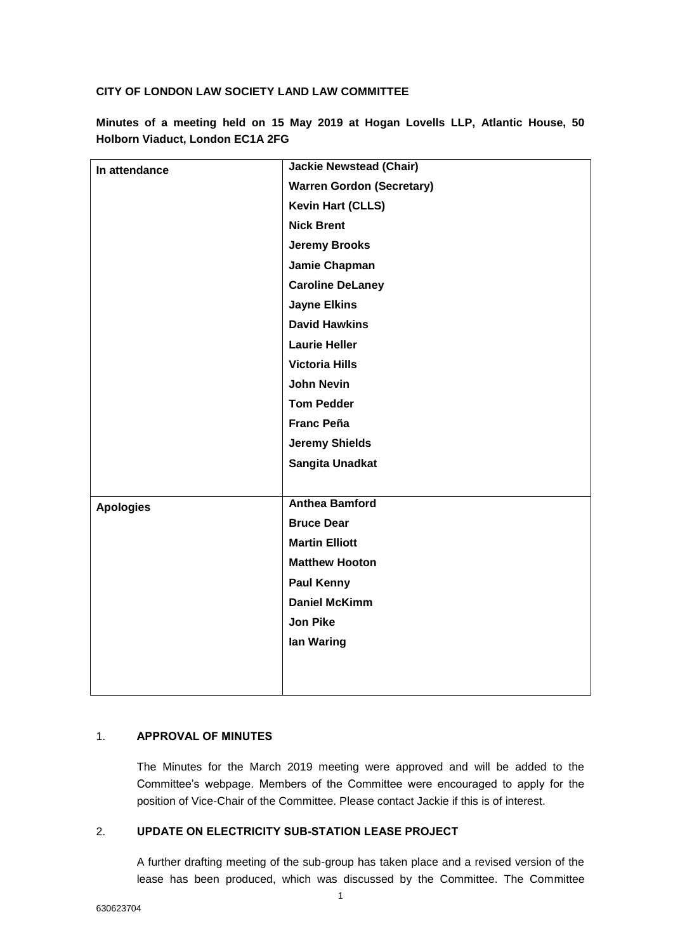## **CITY OF LONDON LAW SOCIETY LAND LAW COMMITTEE**

| In attendance    | <b>Jackie Newstead (Chair)</b>   |
|------------------|----------------------------------|
|                  | <b>Warren Gordon (Secretary)</b> |
|                  | <b>Kevin Hart (CLLS)</b>         |
|                  | <b>Nick Brent</b>                |
|                  | <b>Jeremy Brooks</b>             |
|                  | Jamie Chapman                    |
|                  | <b>Caroline DeLaney</b>          |
|                  | <b>Jayne Elkins</b>              |
|                  | <b>David Hawkins</b>             |
|                  | <b>Laurie Heller</b>             |
|                  | <b>Victoria Hills</b>            |
|                  | <b>John Nevin</b>                |
|                  | <b>Tom Pedder</b>                |
|                  | <b>Franc Peña</b>                |
|                  | <b>Jeremy Shields</b>            |
|                  | <b>Sangita Unadkat</b>           |
|                  |                                  |
| <b>Apologies</b> | <b>Anthea Bamford</b>            |
|                  | <b>Bruce Dear</b>                |
|                  | <b>Martin Elliott</b>            |
|                  | <b>Matthew Hooton</b>            |
|                  | <b>Paul Kenny</b>                |
|                  | <b>Daniel McKimm</b>             |
|                  | <b>Jon Pike</b>                  |
|                  | lan Waring                       |
|                  |                                  |
|                  |                                  |

**Minutes of a meeting held on 15 May 2019 at Hogan Lovells LLP, Atlantic House, 50 Holborn Viaduct, London EC1A 2FG**

## 1. **APPROVAL OF MINUTES**

The Minutes for the March 2019 meeting were approved and will be added to the Committee's webpage. Members of the Committee were encouraged to apply for the position of Vice-Chair of the Committee. Please contact Jackie if this is of interest.

## 2. **UPDATE ON ELECTRICITY SUB-STATION LEASE PROJECT**

A further drafting meeting of the sub-group has taken place and a revised version of the lease has been produced, which was discussed by the Committee. The Committee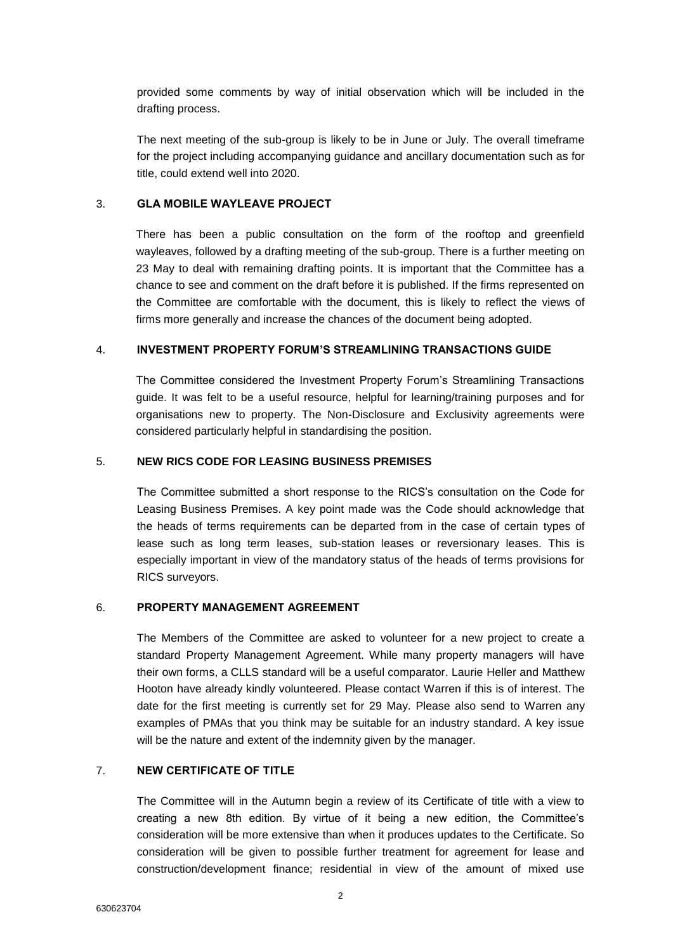provided some comments by way of initial observation which will be included in the drafting process.

The next meeting of the sub-group is likely to be in June or July. The overall timeframe for the project including accompanying guidance and ancillary documentation such as for title, could extend well into 2020.

## 3. **GLA MOBILE WAYLEAVE PROJECT**

There has been a public consultation on the form of the rooftop and greenfield wayleaves, followed by a drafting meeting of the sub-group. There is a further meeting on 23 May to deal with remaining drafting points. It is important that the Committee has a chance to see and comment on the draft before it is published. If the firms represented on the Committee are comfortable with the document, this is likely to reflect the views of firms more generally and increase the chances of the document being adopted.

## 4. **INVESTMENT PROPERTY FORUM'S STREAMLINING TRANSACTIONS GUIDE**

The Committee considered the Investment Property Forum's Streamlining Transactions guide. It was felt to be a useful resource, helpful for learning/training purposes and for organisations new to property. The Non-Disclosure and Exclusivity agreements were considered particularly helpful in standardising the position.

## 5. **NEW RICS CODE FOR LEASING BUSINESS PREMISES**

The Committee submitted a short response to the RICS's consultation on the Code for Leasing Business Premises. A key point made was the Code should acknowledge that the heads of terms requirements can be departed from in the case of certain types of lease such as long term leases, sub-station leases or reversionary leases. This is especially important in view of the mandatory status of the heads of terms provisions for RICS surveyors.

#### 6. **PROPERTY MANAGEMENT AGREEMENT**

The Members of the Committee are asked to volunteer for a new project to create a standard Property Management Agreement. While many property managers will have their own forms, a CLLS standard will be a useful comparator. Laurie Heller and Matthew Hooton have already kindly volunteered. Please contact Warren if this is of interest. The date for the first meeting is currently set for 29 May. Please also send to Warren any examples of PMAs that you think may be suitable for an industry standard. A key issue will be the nature and extent of the indemnity given by the manager.

## 7. **NEW CERTIFICATE OF TITLE**

The Committee will in the Autumn begin a review of its Certificate of title with a view to creating a new 8th edition. By virtue of it being a new edition, the Committee's consideration will be more extensive than when it produces updates to the Certificate. So consideration will be given to possible further treatment for agreement for lease and construction/development finance; residential in view of the amount of mixed use